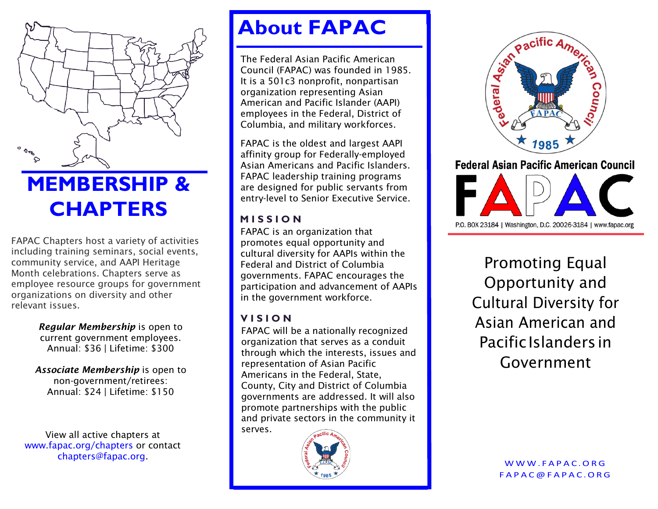

# **MEMBERSHIP & CHAPTERS**

FAPAC Chapters host a variety of activities including training seminars, social events, community service, and AAPI Heritage Month celebrations. Chapters serve as employee resource groups for government organizations on diversity and other relevant issues.

> *Regular Membership* is open to current government employees. Annual: \$36 | Lifetime: \$300

*Associate Membership* is open to non-government/retirees: Annual: \$24 | Lifetime: \$150

View all active chapters at www.fapac.org/chapters or contact chapters@fapac.org.

## **About FAPAC**

The Federal Asian Pacific American Council (FAPAC) was founded in 1985. It is a 501c3 nonprofit, nonpartisan organization representing Asian American and Pacific Islander (AAPI) employees in the Federal, District of Columbia, and military workforces.

FAPAC is the oldest and largest AAPI affinity group for Federally-employed Asian Americans and Pacific Islanders. FAPAC leadership training programs are designed for public servants from entry-level to Senior Executive Service.

#### **M I S S I O N**

FAPAC is an organization that promotes equal opportunity and cultural diversity for AAPIs within the Federal and District of Columbia governments. FAPAC encourages the participation and advancement of AAPIs in the government workforce.

#### **V I S I O N**

FAPAC will be a nationally recognized organization that serves as a conduit through which the interests, issues and representation of Asian Pacific Americans in the Federal, State, County, City and District of Columbia governments are addressed. It will also promote partnerships with the public and private sectors in the community it serves.





**Federal Asian Pacific American Council** 

P.O. BOX 23184 | Washington, D.C. 20026-3184 | www.fapac.org

Promoting Equal Opportunity and Cultural Diversity for Asian American and Pacific Islanders in Government